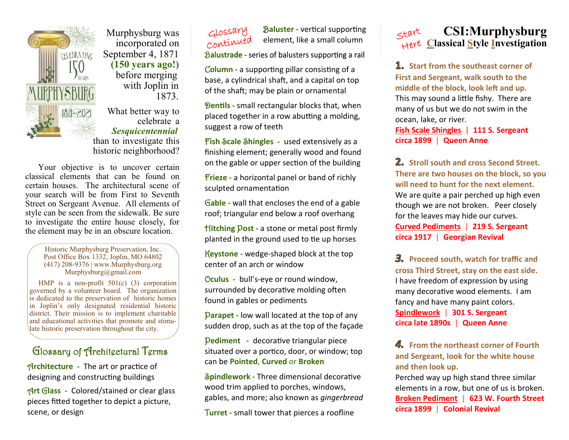

 Murphysburg was incorporated on  $C$ FIEBRATING September 4, 1871 **(150 years ago!)** before merging with Joplin in 1873.

> What better way to celebrate a *Sesquicentennial*  than to investigate this historic neighborhood?

 Your objective is to uncover certain classical elements that can be found on certain houses. The architectural scene of your search will be from First to Seventh Street on Sergeant Avenue. All elements of style can be seen from the sidewalk. Be sure to investigate the entire house closely, for the element may be in an obscure location.

> Historic Murphysburg Preservation, Inc. Post Office Box 1332, Joplin, MO 64802 (417) 208-9376 | www.Murphysburg.org Murphysburg@gmail.com

 HMP is a non-profit 501(c) (3) corporation governed by a volunteer board. The organization is dedicated to the preservation of historic homes in Joplin's only designated residential historic district. Their mission is to implement charitable and educational activities that promote and stimulate historic preservation throughout the city.

## Glossary of Architectural Terms

A**rchitecture -** The art or practice of designing and constructing buildings

A**rt** G**lass -** Colored/stained or clear glass pieces fitted together to depict a picture, scene, or design

B**aluster -** vertical supporting continued element, like a small column

Balustrade - series of balusters supporting a rail

C**olumn -** a supporting pillar consisting of a base, a cylindrical shaft, and a capital on top of the shaft; may be plain or ornamental

**Pentils** - small rectangular blocks that, when placed together in a row abutting a molding, suggest a row of teeth

F**ish** S**cale** S**hingles -** used extensively as a finishing element; generally wood and found on the gable or upper section of the building

F**rieze -** a horizontal panel or band of richly sculpted ornamentation

G**able -** wall that encloses the end of a gable roof; triangular end below a roof overhang

H**itching** P**ost -** a stone or metal post firmly planted in the ground used to tie up horses

K**eystone -** wedge-shaped block at the top center of an arch or window

O**culus -** bull's-eye or round window, surrounded by decorative molding often found in gables or pediments

P**arapet -** low wall located at the top of any sudden drop, such as at the top of the façade

P**ediment -** decorative triangular piece situated over a portico, door, or window; top can be **Pointed**, **Curved** or **Broken**

S**pindlework -** Three dimensional decorative wood trim applied to porches, windows, gables, and more; also known as *gingerbread*

T**urret -** small tower that pierces a roofline



**1.** Start from the southeast corner of **First and Sergeant, walk south to the middle of the block, look left and up.** This may sound a little fishy. There are many of us but we do not swim in the ocean, lake, or river.

**Fish Scale Shingles | 111 S. Sergeant circa 1899 Queen Anne**

**Stroll south and cross Second Street. There are two houses on the block, so you will need to hunt for the next element.** We are quite a pair perched up high even though we are not broken. Peer closely for the leaves may hide our curves. **Curved Pediments 219 S. Sergeant circa 1917 Georgian Revival**

**Proceed south, watch for traffic and cross Third Street, stay on the east side.** I have freedom of expression by using many decorative wood elements. I am fancy and have many paint colors. **Spindlework 301 S. Sergeant circa late 1890s Queen Anne**

**4.** From the northeast corner of Fourth **and Sergeant, look for the white house and then look up.** 

Perched way up high stand three similar elements in a row, but one of us is broken. **Broken Pediment | 623 W. Fourth Street circa 1899 Colonial Revival**